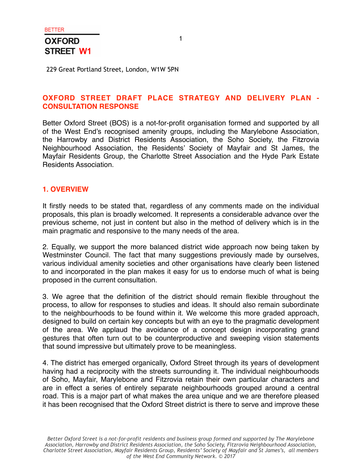229 Great Portland Street, London, W1W 5PN

### **OXFORD STREET DRAFT PLACE STRATEGY AND DELIVERY PLAN - CONSULTATION RESPONSE**

Better Oxford Street (BOS) is a not-for-profit organisation formed and supported by all of the West End's recognised amenity groups, including the Marylebone Association, the Harrowby and District Residents Association, the Soho Society, the Fitzrovia Neighbourhood Association, the Residents' Society of Mayfair and St James, the Mayfair Residents Group, the Charlotte Street Association and the Hyde Park Estate Residents Association.

#### **1. OVERVIEW**

It firstly needs to be stated that, regardless of any comments made on the individual proposals, this plan is broadly welcomed. It represents a considerable advance over the previous scheme, not just in content but also in the method of delivery which is in the main pragmatic and responsive to the many needs of the area.

2. Equally, we support the more balanced district wide approach now being taken by Westminster Council. The fact that many suggestions previously made by ourselves, various individual amenity societies and other organisations have clearly been listened to and incorporated in the plan makes it easy for us to endorse much of what is being proposed in the current consultation.

3. We agree that the definition of the district should remain flexible throughout the process, to allow for responses to studies and ideas. It should also remain subordinate to the neighbourhoods to be found within it. We welcome this more graded approach, designed to build on certain key concepts but with an eye to the pragmatic development of the area. We applaud the avoidance of a concept design incorporating grand gestures that often turn out to be counterproductive and sweeping vision statements that sound impressive but ultimately prove to be meaningless.

4. The district has emerged organically, Oxford Street through its years of development having had a reciprocity with the streets surrounding it. The individual neighbourhoods of Soho, Mayfair, Marylebone and Fitzrovia retain their own particular characters and are in effect a series of entirely separate neighbourhoods grouped around a central road. This is a major part of what makes the area unique and we are therefore pleased it has been recognised that the Oxford Street district is there to serve and improve these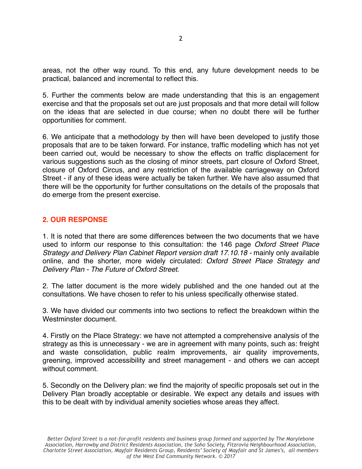areas, not the other way round. To this end, any future development needs to be practical, balanced and incremental to reflect this.

5. Further the comments below are made understanding that this is an engagement exercise and that the proposals set out are just proposals and that more detail will follow on the ideas that are selected in due course; when no doubt there will be further opportunities for comment.

6. We anticipate that a methodology by then will have been developed to justify those proposals that are to be taken forward. For instance, traffic modelling which has not yet been carried out, would be necessary to show the effects on traffic displacement for various suggestions such as the closing of minor streets, part closure of Oxford Street, closure of Oxford Circus, and any restriction of the available carriageway on Oxford Street - if any of these ideas were actually be taken further. We have also assumed that there will be the opportunity for further consultations on the details of the proposals that do emerge from the present exercise.

### **2. OUR RESPONSE**

1. It is noted that there are some differences between the two documents that we have used to inform our response to this consultation: the 146 page *Oxford Street Place Strategy and Delivery Plan Cabinet Report version draft 17.10.18 - mainly only available* online, and the shorter, more widely circulated: *Oxford Street Place Strategy and Delivery Plan - The Future of Oxford Street*.

2. The latter document is the more widely published and the one handed out at the consultations. We have chosen to refer to his unless specifically otherwise stated.

3. We have divided our comments into two sections to reflect the breakdown within the Westminster document.

4. Firstly on the Place Strategy: we have not attempted a comprehensive analysis of the strategy as this is unnecessary - we are in agreement with many points, such as: freight and waste consolidation, public realm improvements, air quality improvements, greening, improved accessibility and street management - and others we can accept without comment.

5. Secondly on the Delivery plan: we find the majority of specific proposals set out in the Delivery Plan broadly acceptable or desirable. We expect any details and issues with this to be dealt with by individual amenity societies whose areas they affect.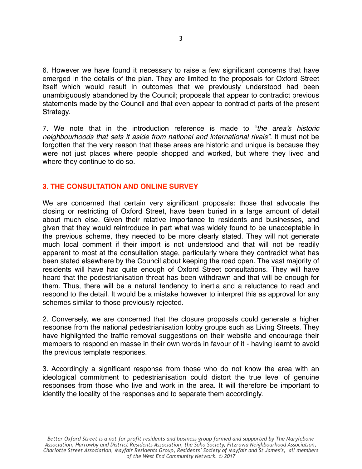6. However we have found it necessary to raise a few significant concerns that have emerged in the details of the plan. They are limited to the proposals for Oxford Street itself which would result in outcomes that we previously understood had been unambiguously abandoned by the Council; proposals that appear to contradict previous statements made by the Council and that even appear to contradict parts of the present Strategy.

7. We note that in the introduction reference is made to "*the area's historic neighbourhoods that sets it aside from national and international rivals".* It must not be forgotten that the very reason that these areas are historic and unique is because they were not just places where people shopped and worked, but where they lived and where they continue to do so.

### **3. THE CONSULTATION AND ONLINE SURVEY**

We are concerned that certain very significant proposals: those that advocate the closing or restricting of Oxford Street, have been buried in a large amount of detail about much else. Given their relative importance to residents and businesses, and given that they would reintroduce in part what was widely found to be unacceptable in the previous scheme, they needed to be more clearly stated. They will not generate much local comment if their import is not understood and that will not be readily apparent to most at the consultation stage, particularly where they contradict what has been stated elsewhere by the Council about keeping the road open. The vast majority of residents will have had quite enough of Oxford Street consultations. They will have heard that the pedestrianisation threat has been withdrawn and that will be enough for them. Thus, there will be a natural tendency to inertia and a reluctance to read and respond to the detail. It would be a mistake however to interpret this as approval for any schemes similar to those previously rejected.

2. Conversely, we are concerned that the closure proposals could generate a higher response from the national pedestrianisation lobby groups such as Living Streets. They have highlighted the traffic removal suggestions on their website and encourage their members to respond en masse in their own words in favour of it - having learnt to avoid the previous template responses.

3. Accordingly a significant response from those who do not know the area with an ideological commitment to pedestrianisation could distort the true level of genuine responses from those who live and work in the area. It will therefore be important to identify the locality of the responses and to separate them accordingly.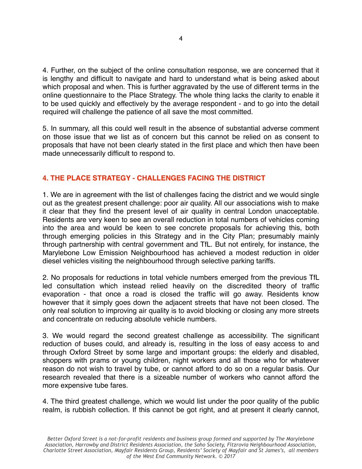4. Further, on the subject of the online consultation response, we are concerned that it is lengthy and difficult to navigate and hard to understand what is being asked about which proposal and when. This is further aggravated by the use of different terms in the online questionnaire to the Place Strategy. The whole thing lacks the clarity to enable it to be used quickly and effectively by the average respondent - and to go into the detail required will challenge the patience of all save the most committed.

5. In summary, all this could well result in the absence of substantial adverse comment on those issue that we list as of concern but this cannot be relied on as consent to proposals that have not been clearly stated in the first place and which then have been made unnecessarily difficult to respond to.

## **4. THE PLACE STRATEGY - CHALLENGES FACING THE DISTRICT**

1. We are in agreement with the list of challenges facing the district and we would single out as the greatest present challenge: poor air quality. All our associations wish to make it clear that they find the present level of air quality in central London unacceptable. Residents are very keen to see an overall reduction in total numbers of vehicles coming into the area and would be keen to see concrete proposals for achieving this, both through emerging policies in this Strategy and in the City Plan; presumably mainly through partnership with central government and TfL. But not entirely, for instance, the Marylebone Low Emission Neighbourhood has achieved a modest reduction in older diesel vehicles visiting the neighbourhood through selective parking tariffs.

2. No proposals for reductions in total vehicle numbers emerged from the previous TfL led consultation which instead relied heavily on the discredited theory of traffic evaporation - that once a road is closed the traffic will go away. Residents know however that it simply goes down the adjacent streets that have not been closed. The only real solution to improving air quality is to avoid blocking or closing any more streets and concentrate on reducing absolute vehicle numbers.

3. We would regard the second greatest challenge as accessibility. The significant reduction of buses could, and already is, resulting in the loss of easy access to and through Oxford Street by some large and important groups: the elderly and disabled, shoppers with prams or young children, night workers and all those who for whatever reason do not wish to travel by tube, or cannot afford to do so on a regular basis. Our research revealed that there is a sizeable number of workers who cannot afford the more expensive tube fares.

4. The third greatest challenge, which we would list under the poor quality of the public realm, is rubbish collection. If this cannot be got right, and at present it clearly cannot,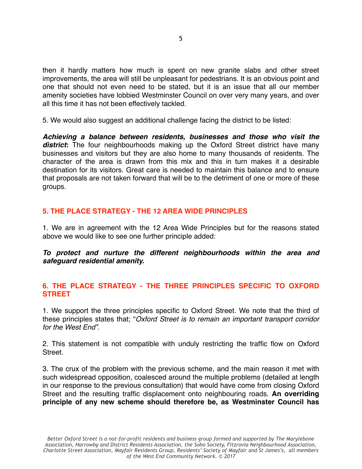then it hardly matters how much is spent on new granite slabs and other street improvements, the area will still be unpleasant for pedestrians. It is an obvious point and one that should not even need to be stated, but it is an issue that all our member amenity societies have lobbied Westminster Council on over very many years, and over all this time it has not been effectively tackled.

5. We would also suggest an additional challenge facing the district to be listed:

*Achieving a balance between residents, businesses and those who visit the district***:** The four neighbourhoods making up the Oxford Street district have many businesses and visitors but they are also home to many thousands of residents. The character of the area is drawn from this mix and this in turn makes it a desirable destination for its visitors. Great care is needed to maintain this balance and to ensure that proposals are not taken forward that will be to the detriment of one or more of these groups.

# **5. THE PLACE STRATEGY - THE 12 AREA WIDE PRINCIPLES**

1. We are in agreement with the 12 Area Wide Principles but for the reasons stated above we would like to see one further principle added:

*To protect and nurture the different neighbourhoods within the area and safeguard residential amenity.*

## **6. THE PLACE STRATEGY - THE THREE PRINCIPLES SPECIFIC TO OXFORD STREET**

1. We support the three principles specific to Oxford Street. We note that the third of these principles states that; "*Oxford Street is to remain an important transport corridor for the West End".*

2. This statement is not compatible with unduly restricting the traffic flow on Oxford Street.

3. The crux of the problem with the previous scheme, and the main reason it met with such widespread opposition, coalesced around the multiple problems (detailed at length in our response to the previous consultation) that would have come from closing Oxford Street and the resulting traffic displacement onto neighbouring roads. **An overriding principle of any new scheme should therefore be, as Westminster Council has**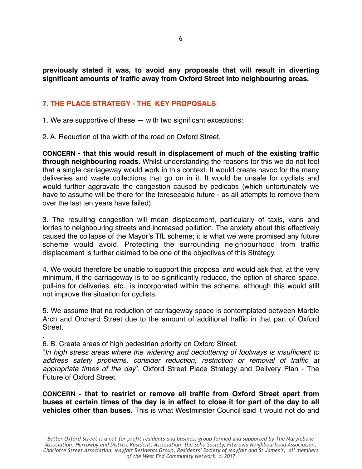**previously stated it was, to avoid any proposals that will result in diverting significant amounts of traffic away from Oxford Street into neighbouring areas.**

# **7. THE PLACE STRATEGY - THE KEY PROPOSALS**

1. We are supportive of these — with two significant exceptions:

2. A. Reduction of the width of the road on Oxford Street.

**CONCERN - that this would result in displacement of much of the existing traffic through neighbouring roads.** Whilst understanding the reasons for this we do not feel that a single carriageway would work in this context. It would create havoc for the many deliveries and waste collections that go on in it. It would be unsafe for cyclists and would further aggravate the congestion caused by pedicabs (which unfortunately we have to assume will be there for the foreseeable future - as all attempts to remove them over the last ten years have failed).

3. The resulting congestion will mean displacement, particularly of taxis, vans and lorries to neighbouring streets and increased pollution. The anxiety about this effectively caused the collapse of the Mayor's TfL scheme; it is what we were promised any future scheme would avoid. Protecting the surrounding neighbourhood from traffic displacement is further claimed to be one of the objectives of this Strategy.

4. We would therefore be unable to support this proposal and would ask that, at the very minimum, if the carriageway is to be significantly reduced, the option of shared space, pull-ins for deliveries, etc., is incorporated within the scheme, although this would still not improve the situation for cyclists.

5. We assume that no reduction of carriageway space is contemplated between Marble Arch and Orchard Street due to the amount of additional traffic in that part of Oxford Street.

6. B. Create areas of high pedestrian priority on Oxford Street.

.

"*In high stress areas where the widening and decluttering of footways is insufficient to address safety problems, consider reduction, restriction or removal of traffic at appropriate times of the day*". Oxford Street Place Strategy and Delivery Plan - The Future of Oxford Street.

**CONCERN - that to restrict or remove all traffic from Oxford Street apart from buses at certain times of the day is in effect to close it for part of the day to all vehicles other than buses.** This is what Westminster Council said it would not do and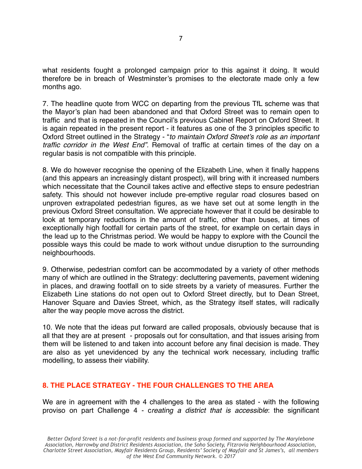what residents fought a prolonged campaign prior to this against it doing. It would therefore be in breach of Westminster's promises to the electorate made only a few months ago.

7. The headline quote from WCC on departing from the previous TfL scheme was that the Mayor's plan had been abandoned and that Oxford Street was to remain open to traffic and that is repeated in the Council's previous Cabinet Report on Oxford Street. It is again repeated in the present report - it features as one of the 3 principles specific to Oxford Street outlined in the Strategy - "*to maintain Oxford Street's role as an important traffic corridor in the West End".* Removal of traffic at certain times of the day on a regular basis is not compatible with this principle.

8. We do however recognise the opening of the Elizabeth Line, when it finally happens (and this appears an increasingly distant prospect), will bring with it increased numbers which necessitate that the Council takes active and effective steps to ensure pedestrian safety. This should not however include pre-emptive regular road closures based on unproven extrapolated pedestrian figures, as we have set out at some length in the previous Oxford Street consultation. We appreciate however that it could be desirable to look at temporary reductions in the amount of traffic, other than buses, at times of exceptionally high footfall for certain parts of the street, for example on certain days in the lead up to the Christmas period. We would be happy to explore with the Council the possible ways this could be made to work without undue disruption to the surrounding neighbourhoods.

9. Otherwise, pedestrian comfort can be accommodated by a variety of other methods many of which are outlined in the Strategy: decluttering pavements, pavement widening in places, and drawing footfall on to side streets by a variety of measures. Further the Elizabeth Line stations do not open out to Oxford Street directly, but to Dean Street, Hanover Square and Davies Street, which, as the Strategy itself states, will radically alter the way people move across the district.

10. We note that the ideas put forward are called proposals, obviously because that is all that they are at present - proposals out for consultation, and that issues arising from them will be listened to and taken into account before any final decision is made. They are also as yet unevidenced by any the technical work necessary, including traffic modelling, to assess their viability.

### **8. THE PLACE STRATEGY - THE FOUR CHALLENGES TO THE AREA**

We are in agreement with the 4 challenges to the area as stated - with the following proviso on part Challenge 4 - c*reating a district that is accessible*: the significant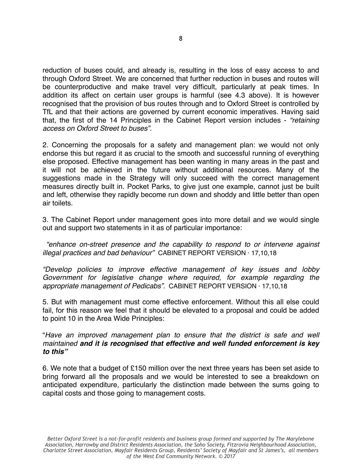reduction of buses could, and already is, resulting in the loss of easy access to and through Oxford Street. We are concerned that further reduction in buses and routes will be counterproductive and make travel very difficult, particularly at peak times. In addition its affect on certain user groups is harmful (see 4.3 above). It is however recognised that the provision of bus routes through and to Oxford Street is controlled by TfL and that their actions are governed by current economic imperatives. Having said that, the first of the 14 Principles in the Cabinet Report version includes - *"retaining access on Oxford Street to buses".*

2. Concerning the proposals for a safety and management plan: we would not only endorse this but regard it as crucial to the smooth and successful running of everything else proposed. Effective management has been wanting in many areas in the past and it will not be achieved in the future without additional resources. Many of the suggestions made in the Strategy will only succeed with the correct management measures directly built in. Pocket Parks, to give just one example, cannot just be built and left, otherwise they rapidly become run down and shoddy and little better than open air toilets.

3. The Cabinet Report under management goes into more detail and we would single out and support two statements in it as of particular importance:

 *"enhance on-street presence and the capability to respond to or intervene against illegal practices and bad behaviour"* CABINET REPORT VERSION · 17,10,18

*"Develop policies to improve effective management of key issues and lobby Government for legislative change where required, for example regarding the appropriate management of Pedicabs".* CABINET REPORT VERSION · 17,10,18

5. But with management must come effective enforcement. Without this all else could fail, for this reason we feel that it should be elevated to a proposal and could be added to point 10 in the Area Wide Principles:

"*Have an improved management plan to ensure that the district is safe and well maintained and it is recognised that effective and well funded enforcement is key to this"*

6. We note that a budget of £150 million over the next three years has been set aside to bring forward all the proposals and we would be interested to see a breakdown on anticipated expenditure, particularly the distinction made between the sums going to capital costs and those going to management costs.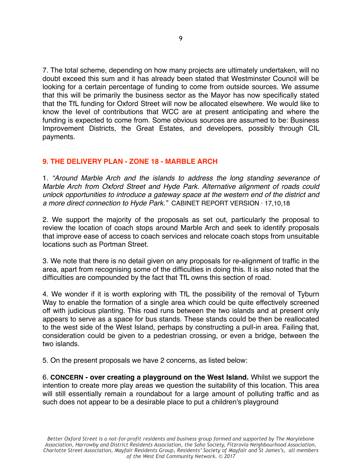7. The total scheme, depending on how many projects are ultimately undertaken, will no doubt exceed this sum and it has already been stated that Westminster Council will be looking for a certain percentage of funding to come from outside sources. We assume that this will be primarily the business sector as the Mayor has now specifically stated that the TfL funding for Oxford Street will now be allocated elsewhere. We would like to know the level of contributions that WCC are at present anticipating and where the funding is expected to come from. Some obvious sources are assumed to be: Business Improvement Districts, the Great Estates, and developers, possibly through CIL payments.

## **9. THE DELIVERY PLAN - ZONE 18 - MARBLE ARCH**

1. *"Around Marble Arch and the islands to address the long standing severance of Marble Arch from Oxford Street and Hyde Park. Alternative alignment of roads could unlock opportunities to introduce a gateway space at the western end of the district and a more direct connection to Hyde Park."* CABINET REPORT VERSION · 17,10,18

2. We support the majority of the proposals as set out, particularly the proposal to review the location of coach stops around Marble Arch and seek to identify proposals that improve ease of access to coach services and relocate coach stops from unsuitable locations such as Portman Street.

3. We note that there is no detail given on any proposals for re-alignment of traffic in the area, apart from recognising some of the difficulties in doing this. It is also noted that the difficulties are compounded by the fact that TfL owns this section of road.

4. We wonder if it is worth exploring with TfL the possibility of the removal of Tyburn Way to enable the formation of a single area which could be quite effectively screened off with judicious planting. This road runs between the two islands and at present only appears to serve as a space for bus stands. These stands could be then be reallocated to the west side of the West Island, perhaps by constructing a pull-in area. Failing that, consideration could be given to a pedestrian crossing, or even a bridge, between the two islands.

5. On the present proposals we have 2 concerns, as listed below:

6. **CONCERN - over creating a playground on the West Island.** Whilst we support the intention to create more play areas we question the suitability of this location. This area will still essentially remain a roundabout for a large amount of polluting traffic and as such does not appear to be a desirable place to put a children's playground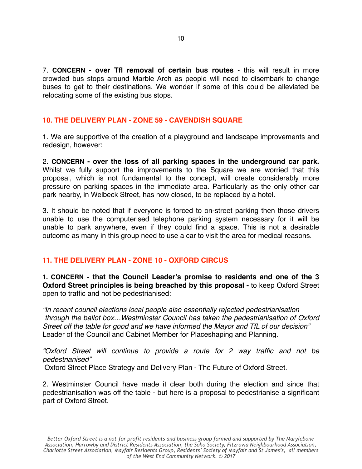7. **CONCERN - over Tfl removal of certain bus routes** - this will result in more crowded bus stops around Marble Arch as people will need to disembark to change buses to get to their destinations. We wonder if some of this could be alleviated be relocating some of the existing bus stops.

#### **10. THE DELIVERY PLAN - ZONE 59 - CAVENDISH SQUARE**

1. We are supportive of the creation of a playground and landscape improvements and redesign, however:

2. **CONCERN - over the loss of all parking spaces in the underground car park.** Whilst we fully support the improvements to the Square we are worried that this proposal, which is not fundamental to the concept, will create considerably more pressure on parking spaces in the immediate area. Particularly as the only other car park nearby, in Welbeck Street, has now closed, to be replaced by a hotel.

3. It should be noted that if everyone is forced to on-street parking then those drivers unable to use the computerised telephone parking system necessary for it will be unable to park anywhere, even if they could find a space. This is not a desirable outcome as many in this group need to use a car to visit the area for medical reasons.

### **11. THE DELIVERY PLAN - ZONE 10 - OXFORD CIRCUS**

**1. CONCERN - that the Council Leader's promise to residents and one of the 3 Oxford Street principles is being breached by this proposal -** to keep Oxford Street open to traffic and not be pedestrianised:

*"In recent council elections local people also essentially rejected pedestrianisation through the ballot box…Westminster Council has taken the pedestrianisation of Oxford Street off the table for good and we have informed the Mayor and TfL of our decision"*  Leader of the Council and Cabinet Member for Placeshaping and Planning.

*"Oxford Street will continue to provide a route for 2 way traffic and not be pedestrianised"*

Oxford Street Place Strategy and Delivery Plan - The Future of Oxford Street.

2. Westminster Council have made it clear both during the election and since that pedestrianisation was off the table - but here is a proposal to pedestrianise a significant part of Oxford Street.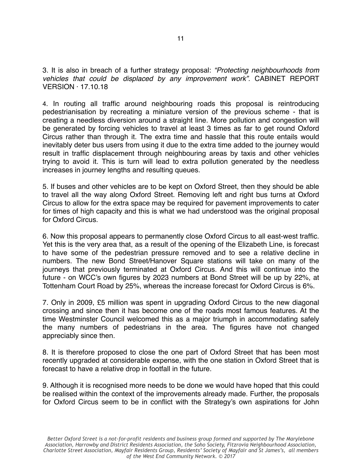3. It is also in breach of a further strategy proposal: *"Protecting neighbourhoods from vehicles that could be displaced by any improvement work".* CABINET REPORT VERSION · 17.10.18

4. In routing all traffic around neighbouring roads this proposal is reintroducing pedestrianisation by recreating a miniature version of the previous scheme - that is creating a needless diversion around a straight line. More pollution and congestion will be generated by forcing vehicles to travel at least 3 times as far to get round Oxford Circus rather than through it. The extra time and hassle that this route entails would inevitably deter bus users from using it due to the extra time added to the journey would result in traffic displacement through neighbouring areas by taxis and other vehicles trying to avoid it. This is turn will lead to extra pollution generated by the needless increases in journey lengths and resulting queues.

5. If buses and other vehicles are to be kept on Oxford Street, then they should be able to travel all the way along Oxford Street. Removing left and right bus turns at Oxford Circus to allow for the extra space may be required for pavement improvements to cater for times of high capacity and this is what we had understood was the original proposal for Oxford Circus.

6. Now this proposal appears to permanently close Oxford Circus to all east-west traffic. Yet this is the very area that, as a result of the opening of the Elizabeth Line, is forecast to have some of the pedestrian pressure removed and to see a relative decline in numbers. The new Bond Street/Hanover Square stations will take on many of the journeys that previously terminated at Oxford Circus. And this will continue into the future - on WCC's own figures by 2023 numbers at Bond Street will be up by 22%, at Tottenham Court Road by 25%, whereas the increase forecast for Oxford Circus is 6%.

7. Only in 2009, £5 million was spent in upgrading Oxford Circus to the new diagonal crossing and since then it has become one of the roads most famous features. At the time Westminster Council welcomed this as a major triumph in accommodating safely the many numbers of pedestrians in the area. The figures have not changed appreciably since then.

8. It is therefore proposed to close the one part of Oxford Street that has been most recently upgraded at considerable expense, with the one station in Oxford Street that is forecast to have a relative drop in footfall in the future.

9. Although it is recognised more needs to be done we would have hoped that this could be realised within the context of the improvements already made. Further, the proposals for Oxford Circus seem to be in conflict with the Strategy's own aspirations for John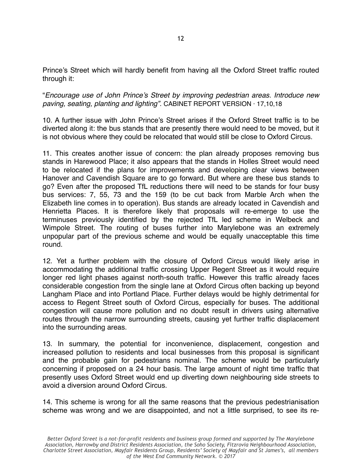Prince's Street which will hardly benefit from having all the Oxford Street traffic routed through it:

"*Encourage use of John Prince's Street by improving pedestrian areas. Introduce new paving, seating, planting and lighting".* CABINET REPORT VERSION · 17,10,18

10. A further issue with John Prince's Street arises if the Oxford Street traffic is to be diverted along it: the bus stands that are presently there would need to be moved, but it is not obvious where they could be relocated that would still be close to Oxford Circus.

11. This creates another issue of concern: the plan already proposes removing bus stands in Harewood Place; it also appears that the stands in Holles Street would need to be relocated if the plans for improvements and developing clear views between Hanover and Cavendish Square are to go forward. But where are these bus stands to go? Even after the proposed TfL reductions there will need to be stands for four busy bus services: 7, 55, 73 and the 159 (to be cut back from Marble Arch when the Elizabeth line comes in to operation). Bus stands are already located in Cavendish and Henrietta Places. It is therefore likely that proposals will re-emerge to use the terminuses previously identified by the rejected TfL led scheme in Welbeck and Wimpole Street. The routing of buses further into Marylebone was an extremely unpopular part of the previous scheme and would be equally unacceptable this time round.

12. Yet a further problem with the closure of Oxford Circus would likely arise in accommodating the additional traffic crossing Upper Regent Street as it would require longer red light phases against north-south traffic. However this traffic already faces considerable congestion from the single lane at Oxford Circus often backing up beyond Langham Place and into Portland Place. Further delays would be highly detrimental for access to Regent Street south of Oxford Circus, especially for buses. The additional congestion will cause more pollution and no doubt result in drivers using alternative routes through the narrow surrounding streets, causing yet further traffic displacement into the surrounding areas.

13. In summary, the potential for inconvenience, displacement, congestion and increased pollution to residents and local businesses from this proposal is significant and the probable gain for pedestrians nominal. The scheme would be particularly concerning if proposed on a 24 hour basis. The large amount of night time traffic that presently uses Oxford Street would end up diverting down neighbouring side streets to avoid a diversion around Oxford Circus.

14. This scheme is wrong for all the same reasons that the previous pedestrianisation scheme was wrong and we are disappointed, and not a little surprised, to see its re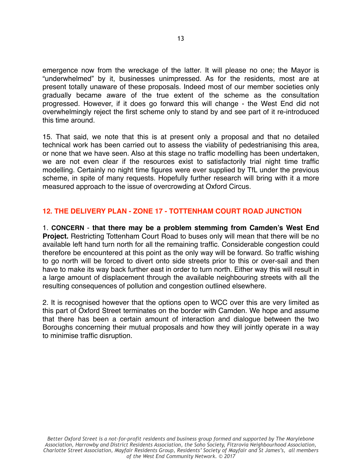emergence now from the wreckage of the latter. It will please no one; the Mayor is "underwhelmed" by it, businesses unimpressed. As for the residents, most are at present totally unaware of these proposals. Indeed most of our member societies only gradually became aware of the true extent of the scheme as the consultation progressed. However, if it does go forward this will change - the West End did not overwhelmingly reject the first scheme only to stand by and see part of it re-introduced this time around.

15. That said, we note that this is at present only a proposal and that no detailed technical work has been carried out to assess the viability of pedestrianising this area, or none that we have seen. Also at this stage no traffic modelling has been undertaken, we are not even clear if the resources exist to satisfactorily trial night time traffic modelling. Certainly no night time figures were ever supplied by TfL under the previous scheme, in spite of many requests. Hopefully further research will bring with it a more measured approach to the issue of overcrowding at Oxford Circus.

## **12. THE DELIVERY PLAN - ZONE 17 - TOTTENHAM COURT ROAD JUNCTION**

1. **CONCERN** - **that there may be a problem stemming from Camden's West End Project.** Restricting Tottenham Court Road to buses only will mean that there will be no available left hand turn north for all the remaining traffic. Considerable congestion could therefore be encountered at this point as the only way will be forward. So traffic wishing to go north will be forced to divert onto side streets prior to this or over-sail and then have to make its way back further east in order to turn north. Either way this will result in a large amount of displacement through the available neighbouring streets with all the resulting consequences of pollution and congestion outlined elsewhere.

2. It is recognised however that the options open to WCC over this are very limited as this part of Oxford Street terminates on the border with Camden. We hope and assume that there has been a certain amount of interaction and dialogue between the two Boroughs concerning their mutual proposals and how they will jointly operate in a way to minimise traffic disruption.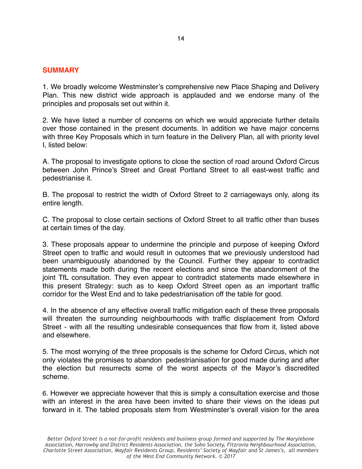#### **SUMMARY**

1. We broadly welcome Westminster's comprehensive new Place Shaping and Delivery Plan. This new district wide approach is applauded and we endorse many of the principles and proposals set out within it.

2. We have listed a number of concerns on which we would appreciate further details over those contained in the present documents. In addition we have major concerns with three Key Proposals which in turn feature in the Delivery Plan, all with priority level I, listed below:

A. The proposal to investigate options to close the section of road around Oxford Circus between John Prince's Street and Great Portland Street to all east-west traffic and pedestrianise it.

B. The proposal to restrict the width of Oxford Street to 2 carriageways only, along its entire length.

C. The proposal to close certain sections of Oxford Street to all traffic other than buses at certain times of the day.

3. These proposals appear to undermine the principle and purpose of keeping Oxford Street open to traffic and would result in outcomes that we previously understood had been unambiguously abandoned by the Council. Further they appear to contradict statements made both during the recent elections and since the abandonment of the joint TfL consultation. They even appear to contradict statements made elsewhere in this present Strategy: such as to keep Oxford Street open as an important traffic corridor for the West End and to take pedestrianisation off the table for good.

4. In the absence of any effective overall traffic mitigation each of these three proposals will threaten the surrounding neighbourhoods with traffic displacement from Oxford Street - with all the resulting undesirable consequences that flow from it, listed above and elsewhere.

5. The most worrying of the three proposals is the scheme for Oxford Circus, which not only violates the promises to abandon pedestrianisation for good made during and after the election but resurrects some of the worst aspects of the Mayor's discredited scheme.

6. However we appreciate however that this is simply a consultation exercise and those with an interest in the area have been invited to share their views on the ideas put forward in it. The tabled proposals stem from Westminster's overall vision for the area